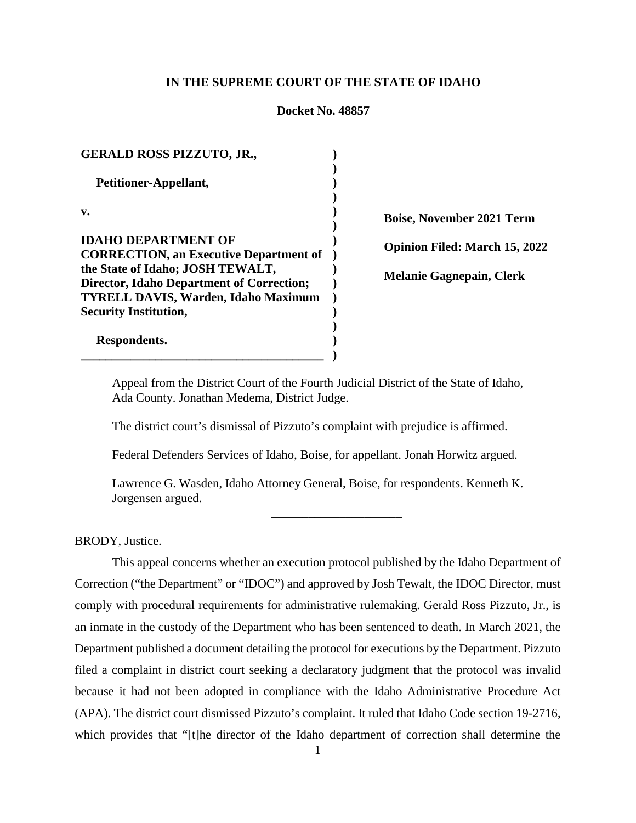### **IN THE SUPREME COURT OF THE STATE OF IDAHO**

#### **Docket No. 48857**

| <b>GERALD ROSS PIZZUTO, JR.,</b>                                                               |  |
|------------------------------------------------------------------------------------------------|--|
| Petitioner-Appellant,                                                                          |  |
| v.                                                                                             |  |
| <b>IDAHO DEPARTMENT OF</b>                                                                     |  |
| <b>CORRECTION, an Executive Department of</b><br>the State of Idaho; JOSH TEWALT,              |  |
| <b>Director, Idaho Department of Correction;</b><br><b>TYRELL DAVIS, Warden, Idaho Maximum</b> |  |
| <b>Security Institution,</b>                                                                   |  |
| Respondents.                                                                                   |  |

**Boise, November 2021 Term Opinion Filed: March 15, 2022 Melanie Gagnepain, Clerk**

Appeal from the District Court of the Fourth Judicial District of the State of Idaho, Ada County. Jonathan Medema, District Judge.

The district court's dismissal of Pizzuto's complaint with prejudice is affirmed.

Federal Defenders Services of Idaho, Boise, for appellant. Jonah Horwitz argued.

Lawrence G. Wasden, Idaho Attorney General, Boise, for respondents. Kenneth K. Jorgensen argued.

\_\_\_\_\_\_\_\_\_\_\_\_\_\_\_\_\_\_\_\_\_

BRODY, Justice.

This appeal concerns whether an execution protocol published by the Idaho Department of Correction ("the Department" or "IDOC") and approved by Josh Tewalt, the IDOC Director, must comply with procedural requirements for administrative rulemaking. Gerald Ross Pizzuto, Jr., is an inmate in the custody of the Department who has been sentenced to death. In March 2021, the Department published a document detailing the protocol for executions by the Department. Pizzuto filed a complaint in district court seeking a declaratory judgment that the protocol was invalid because it had not been adopted in compliance with the Idaho Administrative Procedure Act (APA). The district court dismissed Pizzuto's complaint. It ruled that Idaho Code section 19-2716, which provides that "[t]he director of the Idaho department of correction shall determine the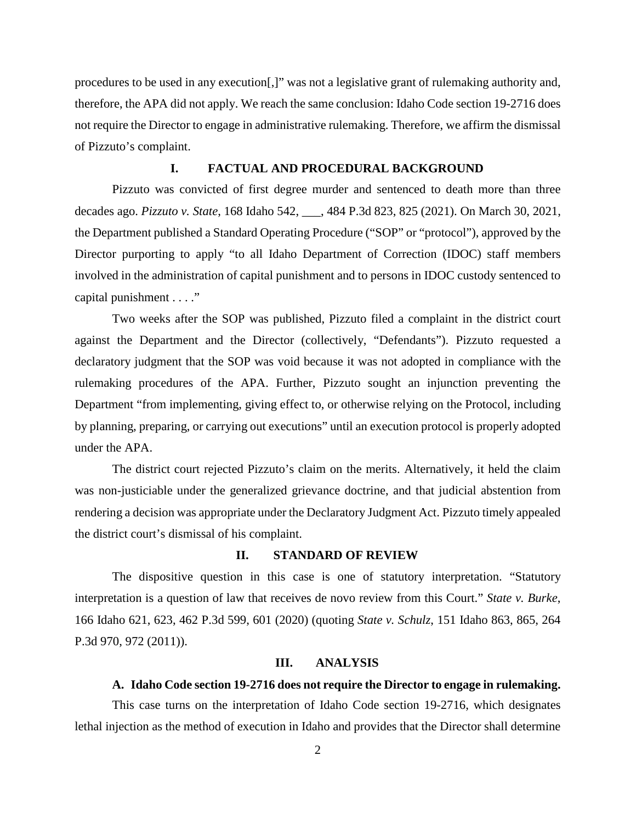procedures to be used in any execution[,]" was not a legislative grant of rulemaking authority and, therefore, the APA did not apply. We reach the same conclusion: Idaho Code section 19-2716 does not require the Director to engage in administrative rulemaking. Therefore, we affirm the dismissal of Pizzuto's complaint.

## **I. FACTUAL AND PROCEDURAL BACKGROUND**

Pizzuto was convicted of first degree murder and sentenced to death more than three decades ago. *Pizzuto v. State*, 168 Idaho 542, \_\_\_, 484 P.3d 823, 825 (2021). On March 30, 2021, the Department published a Standard Operating Procedure ("SOP" or "protocol"), approved by the Director purporting to apply "to all Idaho Department of Correction (IDOC) staff members involved in the administration of capital punishment and to persons in IDOC custody sentenced to capital punishment . . . ."

Two weeks after the SOP was published, Pizzuto filed a complaint in the district court against the Department and the Director (collectively, "Defendants"). Pizzuto requested a declaratory judgment that the SOP was void because it was not adopted in compliance with the rulemaking procedures of the APA. Further, Pizzuto sought an injunction preventing the Department "from implementing, giving effect to, or otherwise relying on the Protocol, including by planning, preparing, or carrying out executions" until an execution protocol is properly adopted under the APA.

The district court rejected Pizzuto's claim on the merits. Alternatively, it held the claim was non-justiciable under the generalized grievance doctrine, and that judicial abstention from rendering a decision was appropriate under the Declaratory Judgment Act. Pizzuto timely appealed the district court's dismissal of his complaint.

## **II. STANDARD OF REVIEW**

The dispositive question in this case is one of statutory interpretation. "Statutory interpretation is a question of law that receives de novo review from this Court." *State v. Burke*, 166 Idaho 621, 623, 462 P.3d 599, 601 (2020) (quoting *State v. Schulz*, 151 Idaho 863, 865, 264 P.3d 970, 972 (2011)).

### **III. ANALYSIS**

### **A. Idaho Code section 19-2716 does not require the Director to engage in rulemaking.**

This case turns on the interpretation of Idaho Code section 19-2716, which designates lethal injection as the method of execution in Idaho and provides that the Director shall determine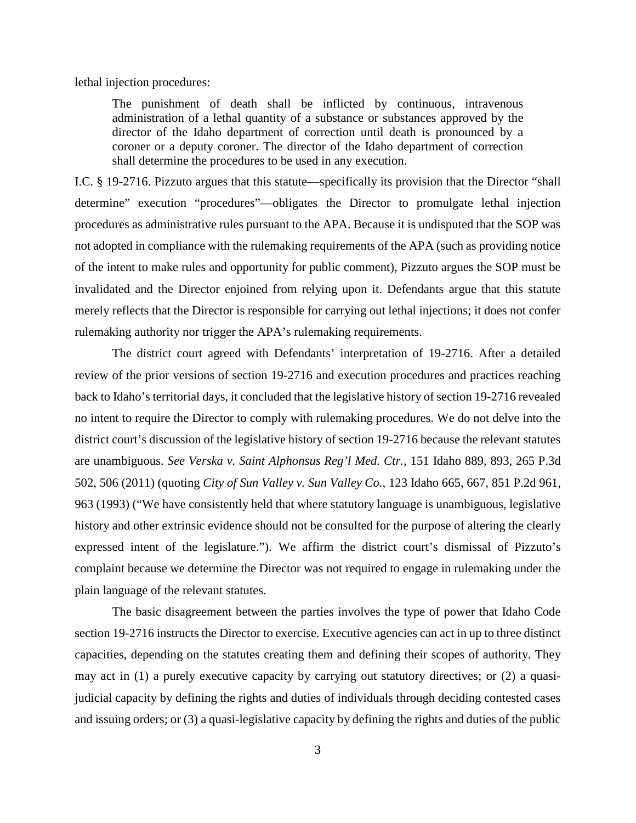lethal injection procedures:

The punishment of death shall be inflicted by continuous, intravenous administration of a lethal quantity of a substance or substances approved by the director of the Idaho department of correction until death is pronounced by a coroner or a deputy coroner. The director of the Idaho department of correction shall determine the procedures to be used in any execution.

I.C. § 19-2716. Pizzuto argues that this statute—specifically its provision that the Director "shall determine" execution "procedures"—obligates the Director to promulgate lethal injection procedures as administrative rules pursuant to the APA. Because it is undisputed that the SOP was not adopted in compliance with the rulemaking requirements of the APA (such as providing notice of the intent to make rules and opportunity for public comment), Pizzuto argues the SOP must be invalidated and the Director enjoined from relying upon it. Defendants argue that this statute merely reflects that the Director is responsible for carrying out lethal injections; it does not confer rulemaking authority nor trigger the APA's rulemaking requirements.

The district court agreed with Defendants' interpretation of 19-2716. After a detailed review of the prior versions of section 19-2716 and execution procedures and practices reaching back to Idaho's territorial days, it concluded that the legislative history of section 19-2716 revealed no intent to require the Director to comply with rulemaking procedures. We do not delve into the district court's discussion of the legislative history of section 19-2716 because the relevant statutes are unambiguous. *See Verska v. Saint Alphonsus Reg'l Med. Ctr.*, 151 Idaho 889, 893, 265 P.3d 502, 506 (2011) (quoting *City of Sun Valley v. Sun Valley Co.*, 123 Idaho 665, 667, 851 P.2d 961, 963 (1993) ("We have consistently held that where statutory language is unambiguous, legislative history and other extrinsic evidence should not be consulted for the purpose of altering the clearly expressed intent of the legislature."). We affirm the district court's dismissal of Pizzuto's complaint because we determine the Director was not required to engage in rulemaking under the plain language of the relevant statutes.

The basic disagreement between the parties involves the type of power that Idaho Code section 19-2716 instructs the Director to exercise. Executive agencies can act in up to three distinct capacities, depending on the statutes creating them and defining their scopes of authority. They may act in (1) a purely executive capacity by carrying out statutory directives; or (2) a quasijudicial capacity by defining the rights and duties of individuals through deciding contested cases and issuing orders; or (3) a quasi-legislative capacity by defining the rights and duties of the public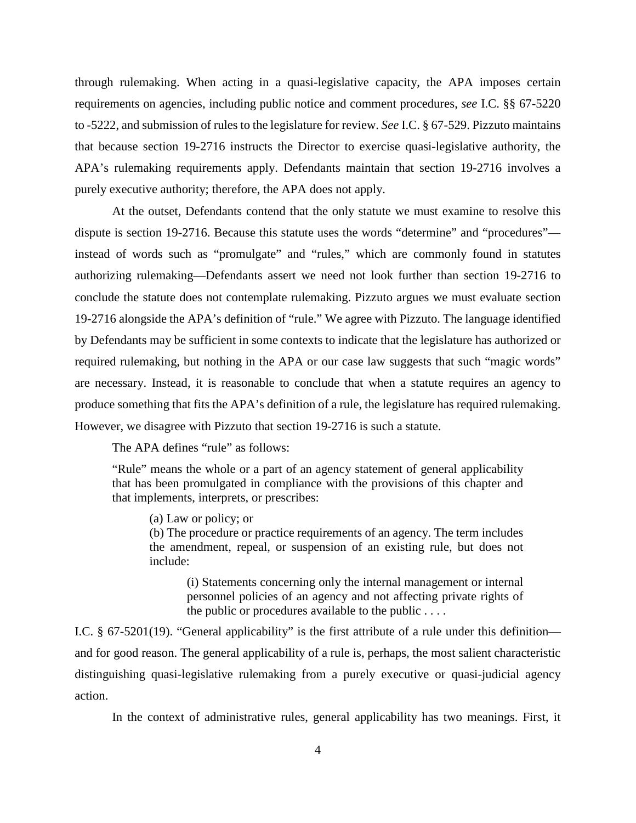through rulemaking. When acting in a quasi-legislative capacity, the APA imposes certain requirements on agencies, including public notice and comment procedures, *see* I.C. §§ 67-5220 to -5222, and submission of rules to the legislature for review. *See* I.C. § 67-529. Pizzuto maintains that because section 19-2716 instructs the Director to exercise quasi-legislative authority, the APA's rulemaking requirements apply. Defendants maintain that section 19-2716 involves a purely executive authority; therefore, the APA does not apply.

At the outset, Defendants contend that the only statute we must examine to resolve this dispute is section 19-2716. Because this statute uses the words "determine" and "procedures" instead of words such as "promulgate" and "rules," which are commonly found in statutes authorizing rulemaking—Defendants assert we need not look further than section 19-2716 to conclude the statute does not contemplate rulemaking. Pizzuto argues we must evaluate section 19-2716 alongside the APA's definition of "rule." We agree with Pizzuto. The language identified by Defendants may be sufficient in some contexts to indicate that the legislature has authorized or required rulemaking, but nothing in the APA or our case law suggests that such "magic words" are necessary. Instead, it is reasonable to conclude that when a statute requires an agency to produce something that fits the APA's definition of a rule, the legislature has required rulemaking. However, we disagree with Pizzuto that section 19-2716 is such a statute.

The APA defines "rule" as follows:

"Rule" means the whole or a part of an agency statement of general applicability that has been promulgated in compliance with the provisions of this chapter and that implements, interprets, or prescribes:

(a) Law or policy; or

(b) The procedure or practice requirements of an agency. The term includes the amendment, repeal, or suspension of an existing rule, but does not include:

(i) Statements concerning only the internal management or internal personnel policies of an agency and not affecting private rights of the public or procedures available to the public . . . .

I.C. § 67-5201(19). "General applicability" is the first attribute of a rule under this definition and for good reason. The general applicability of a rule is, perhaps, the most salient characteristic distinguishing quasi-legislative rulemaking from a purely executive or quasi-judicial agency action.

In the context of administrative rules, general applicability has two meanings. First, it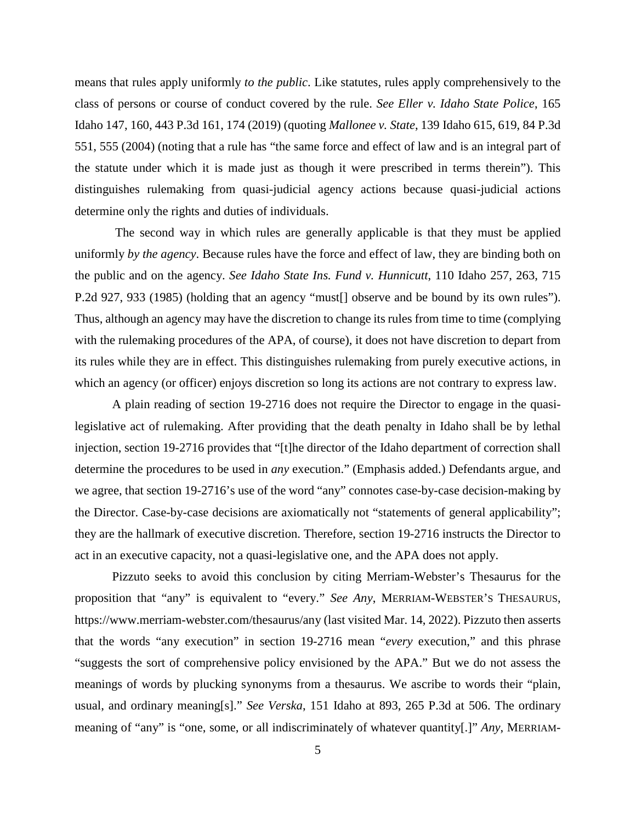means that rules apply uniformly *to the public*. Like statutes, rules apply comprehensively to the class of persons or course of conduct covered by the rule. *See Eller v. Idaho State Police*, 165 Idaho 147, 160, 443 P.3d 161, 174 (2019) (quoting *Mallonee v. State*, 139 Idaho 615, 619, 84 P.3d 551, 555 (2004) (noting that a rule has "the same force and effect of law and is an integral part of the statute under which it is made just as though it were prescribed in terms therein"). This distinguishes rulemaking from quasi-judicial agency actions because quasi-judicial actions determine only the rights and duties of individuals.

The second way in which rules are generally applicable is that they must be applied uniformly *by the agency*. Because rules have the force and effect of law, they are binding both on the public and on the agency. *See Idaho State Ins. Fund v. Hunnicutt*, 110 Idaho 257, 263, 715 P.2d 927, 933 (1985) (holding that an agency "must[] observe and be bound by its own rules"). Thus, although an agency may have the discretion to change its rules from time to time (complying with the rulemaking procedures of the APA, of course), it does not have discretion to depart from its rules while they are in effect. This distinguishes rulemaking from purely executive actions, in which an agency (or officer) enjoys discretion so long its actions are not contrary to express law.

A plain reading of section 19-2716 does not require the Director to engage in the quasilegislative act of rulemaking. After providing that the death penalty in Idaho shall be by lethal injection, section 19-2716 provides that "[t]he director of the Idaho department of correction shall determine the procedures to be used in *any* execution." (Emphasis added.) Defendants argue, and we agree, that section 19-2716's use of the word "any" connotes case-by-case decision-making by the Director. Case-by-case decisions are axiomatically not "statements of general applicability"; they are the hallmark of executive discretion. Therefore, section 19-2716 instructs the Director to act in an executive capacity, not a quasi-legislative one, and the APA does not apply.

Pizzuto seeks to avoid this conclusion by citing Merriam-Webster's Thesaurus for the proposition that "any" is equivalent to "every." *See Any*, MERRIAM-WEBSTER'S THESAURUS, https://www.merriam-webster.com/thesaurus/any (last visited Mar. 14, 2022). Pizzuto then asserts that the words "any execution" in section 19-2716 mean "*every* execution," and this phrase "suggests the sort of comprehensive policy envisioned by the APA." But we do not assess the meanings of words by plucking synonyms from a thesaurus. We ascribe to words their "plain, usual, and ordinary meaning[s]." *See Verska*, 151 Idaho at 893, 265 P.3d at 506. The ordinary meaning of "any" is "one, some, or all indiscriminately of whatever quantity[.]" *Any*, MERRIAM-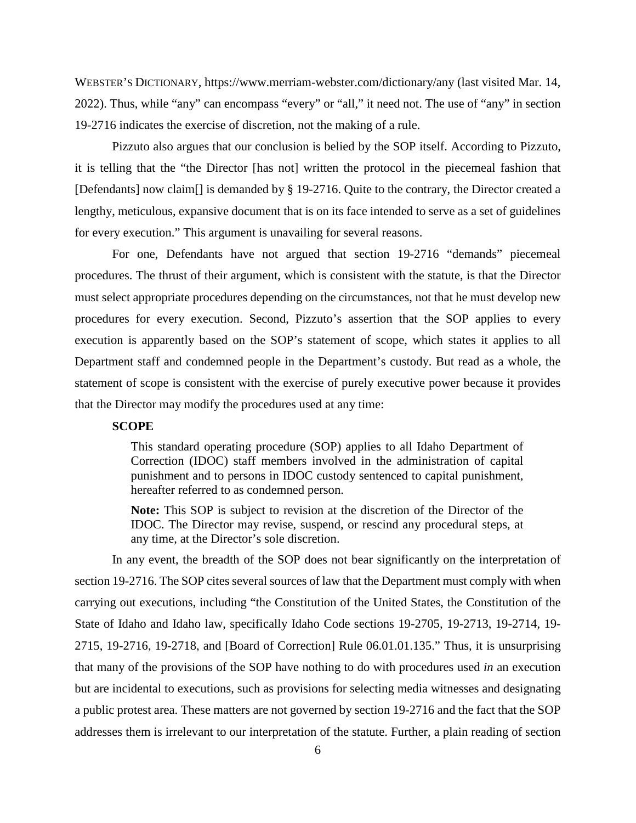WEBSTER'S DICTIONARY, https://www.merriam-webster.com/dictionary/any (last visited Mar. 14, 2022). Thus, while "any" can encompass "every" or "all," it need not. The use of "any" in section 19-2716 indicates the exercise of discretion, not the making of a rule.

Pizzuto also argues that our conclusion is belied by the SOP itself. According to Pizzuto, it is telling that the "the Director [has not] written the protocol in the piecemeal fashion that [Defendants] now claim<sup>[]</sup> is demanded by § 19-2716. Quite to the contrary, the Director created a lengthy, meticulous, expansive document that is on its face intended to serve as a set of guidelines for every execution." This argument is unavailing for several reasons.

For one, Defendants have not argued that section 19-2716 "demands" piecemeal procedures. The thrust of their argument, which is consistent with the statute, is that the Director must select appropriate procedures depending on the circumstances, not that he must develop new procedures for every execution. Second, Pizzuto's assertion that the SOP applies to every execution is apparently based on the SOP's statement of scope, which states it applies to all Department staff and condemned people in the Department's custody. But read as a whole, the statement of scope is consistent with the exercise of purely executive power because it provides that the Director may modify the procedures used at any time:

### **SCOPE**

This standard operating procedure (SOP) applies to all Idaho Department of Correction (IDOC) staff members involved in the administration of capital punishment and to persons in IDOC custody sentenced to capital punishment, hereafter referred to as condemned person.

**Note:** This SOP is subject to revision at the discretion of the Director of the IDOC. The Director may revise, suspend, or rescind any procedural steps, at any time, at the Director's sole discretion.

In any event, the breadth of the SOP does not bear significantly on the interpretation of section 19-2716. The SOP cites several sources of law that the Department must comply with when carrying out executions, including "the Constitution of the United States, the Constitution of the State of Idaho and Idaho law, specifically Idaho Code sections 19-2705, 19-2713, 19-2714, 19- 2715, 19-2716, 19-2718, and [Board of Correction] Rule 06.01.01.135." Thus, it is unsurprising that many of the provisions of the SOP have nothing to do with procedures used *in* an execution but are incidental to executions, such as provisions for selecting media witnesses and designating a public protest area. These matters are not governed by section 19-2716 and the fact that the SOP addresses them is irrelevant to our interpretation of the statute. Further, a plain reading of section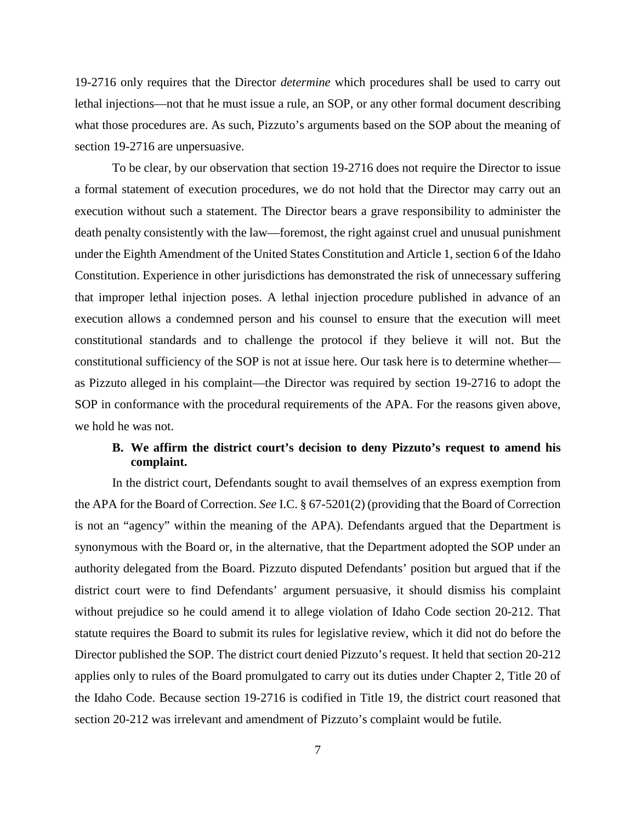19-2716 only requires that the Director *determine* which procedures shall be used to carry out lethal injections—not that he must issue a rule, an SOP, or any other formal document describing what those procedures are. As such, Pizzuto's arguments based on the SOP about the meaning of section 19-2716 are unpersuasive.

To be clear, by our observation that section 19-2716 does not require the Director to issue a formal statement of execution procedures, we do not hold that the Director may carry out an execution without such a statement. The Director bears a grave responsibility to administer the death penalty consistently with the law—foremost, the right against cruel and unusual punishment under the Eighth Amendment of the United States Constitution and Article 1, section 6 of the Idaho Constitution. Experience in other jurisdictions has demonstrated the risk of unnecessary suffering that improper lethal injection poses. A lethal injection procedure published in advance of an execution allows a condemned person and his counsel to ensure that the execution will meet constitutional standards and to challenge the protocol if they believe it will not. But the constitutional sufficiency of the SOP is not at issue here. Our task here is to determine whether as Pizzuto alleged in his complaint—the Director was required by section 19-2716 to adopt the SOP in conformance with the procedural requirements of the APA. For the reasons given above, we hold he was not.

# **B. We affirm the district court's decision to deny Pizzuto's request to amend his complaint.**

In the district court, Defendants sought to avail themselves of an express exemption from the APA for the Board of Correction. *See* I.C. § 67-5201(2) (providing that the Board of Correction is not an "agency" within the meaning of the APA). Defendants argued that the Department is synonymous with the Board or, in the alternative, that the Department adopted the SOP under an authority delegated from the Board. Pizzuto disputed Defendants' position but argued that if the district court were to find Defendants' argument persuasive, it should dismiss his complaint without prejudice so he could amend it to allege violation of Idaho Code section 20-212. That statute requires the Board to submit its rules for legislative review, which it did not do before the Director published the SOP. The district court denied Pizzuto's request. It held that section 20-212 applies only to rules of the Board promulgated to carry out its duties under Chapter 2, Title 20 of the Idaho Code. Because section 19-2716 is codified in Title 19, the district court reasoned that section 20-212 was irrelevant and amendment of Pizzuto's complaint would be futile.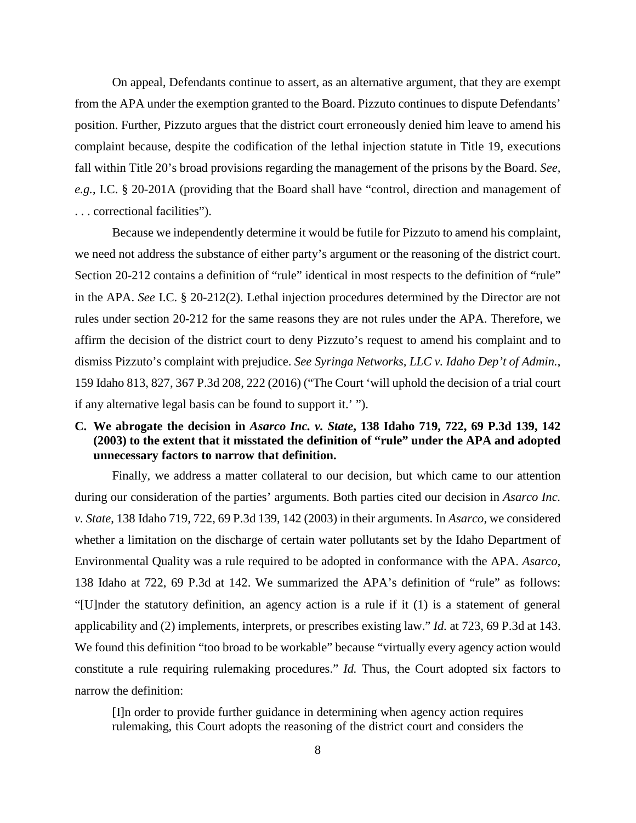On appeal, Defendants continue to assert, as an alternative argument, that they are exempt from the APA under the exemption granted to the Board. Pizzuto continues to dispute Defendants' position. Further, Pizzuto argues that the district court erroneously denied him leave to amend his complaint because, despite the codification of the lethal injection statute in Title 19, executions fall within Title 20's broad provisions regarding the management of the prisons by the Board. *See, e.g.*, I.C. § 20-201A (providing that the Board shall have "control, direction and management of . . . correctional facilities").

Because we independently determine it would be futile for Pizzuto to amend his complaint, we need not address the substance of either party's argument or the reasoning of the district court. Section 20-212 contains a definition of "rule" identical in most respects to the definition of "rule" in the APA. *See* I.C. § 20-212(2). Lethal injection procedures determined by the Director are not rules under section 20-212 for the same reasons they are not rules under the APA. Therefore, we affirm the decision of the district court to deny Pizzuto's request to amend his complaint and to dismiss Pizzuto's complaint with prejudice. *See Syringa Networks, LLC v. Idaho Dep't of Admin.*, 159 Idaho 813, 827, 367 P.3d 208, 222 (2016) ("The Court 'will uphold the decision of a trial court if any alternative legal basis can be found to support it.' ").

# **C. We abrogate the decision in** *Asarco Inc. v. State***, 138 Idaho 719, 722, 69 P.3d 139, 142 (2003) to the extent that it misstated the definition of "rule" under the APA and adopted unnecessary factors to narrow that definition.**

Finally, we address a matter collateral to our decision, but which came to our attention during our consideration of the parties' arguments. Both parties cited our decision in *Asarco Inc. v. State*, 138 Idaho 719, 722, 69 P.3d 139, 142 (2003) in their arguments. In *Asarco*, we considered whether a limitation on the discharge of certain water pollutants set by the Idaho Department of Environmental Quality was a rule required to be adopted in conformance with the APA. *Asarco*, 138 Idaho at 722, 69 P.3d at 142. We summarized the APA's definition of "rule" as follows: "[U]nder the statutory definition, an agency action is a rule if it (1) is a statement of general applicability and (2) implements, interprets, or prescribes existing law." *Id.* at 723, 69 P.3d at 143. We found this definition "too broad to be workable" because "virtually every agency action would constitute a rule requiring rulemaking procedures." *Id.* Thus, the Court adopted six factors to narrow the definition:

[I]n order to provide further guidance in determining when agency action requires rulemaking, this Court adopts the reasoning of the district court and considers the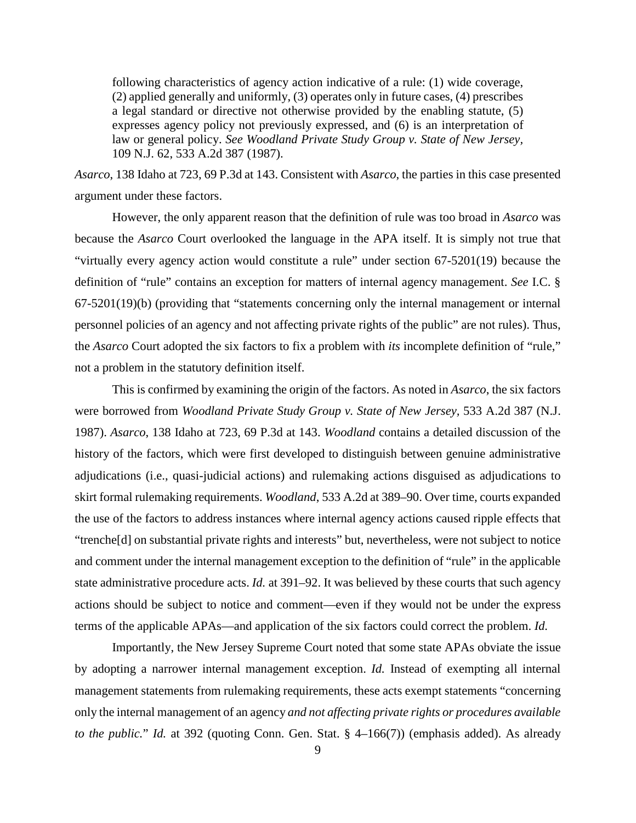following characteristics of agency action indicative of a rule: (1) wide coverage, (2) applied generally and uniformly, (3) operates only in future cases, (4) prescribes a legal standard or directive not otherwise provided by the enabling statute, (5) expresses agency policy not previously expressed, and (6) is an interpretation of law or general policy. *See Woodland Private Study Group v. State of New Jersey,*  109 N.J. 62, 533 A.2d 387 (1987).

*Asarco*, 138 Idaho at 723, 69 P.3d at 143. Consistent with *Asarco*, the parties in this case presented argument under these factors.

However, the only apparent reason that the definition of rule was too broad in *Asarco* was because the *Asarco* Court overlooked the language in the APA itself. It is simply not true that "virtually every agency action would constitute a rule" under section 67-5201(19) because the definition of "rule" contains an exception for matters of internal agency management. *See* I.C. § 67-5201(19)(b) (providing that "statements concerning only the internal management or internal personnel policies of an agency and not affecting private rights of the public" are not rules). Thus, the *Asarco* Court adopted the six factors to fix a problem with *its* incomplete definition of "rule," not a problem in the statutory definition itself.

This is confirmed by examining the origin of the factors. As noted in *Asarco*, the six factors were borrowed from *Woodland Private Study Group v. State of New Jersey,* 533 A.2d 387 (N.J. 1987). *Asarco*, 138 Idaho at 723, 69 P.3d at 143. *Woodland* contains a detailed discussion of the history of the factors, which were first developed to distinguish between genuine administrative adjudications (i.e., quasi-judicial actions) and rulemaking actions disguised as adjudications to skirt formal rulemaking requirements. *Woodland*, 533 A.2d at 389–90. Over time, courts expanded the use of the factors to address instances where internal agency actions caused ripple effects that "trenche[d] on substantial private rights and interests" but, nevertheless, were not subject to notice and comment under the internal management exception to the definition of "rule" in the applicable state administrative procedure acts. *Id.* at 391–92. It was believed by these courts that such agency actions should be subject to notice and comment—even if they would not be under the express terms of the applicable APAs—and application of the six factors could correct the problem. *Id.* 

Importantly, the New Jersey Supreme Court noted that some state APAs obviate the issue by adopting a narrower internal management exception. *Id.* Instead of exempting all internal management statements from rulemaking requirements, these acts exempt statements "concerning only the internal management of an agency *and not affecting private rights or procedures available to the public.*" *Id.* at 392 (quoting Conn. Gen. Stat. § 4–166(7)) (emphasis added). As already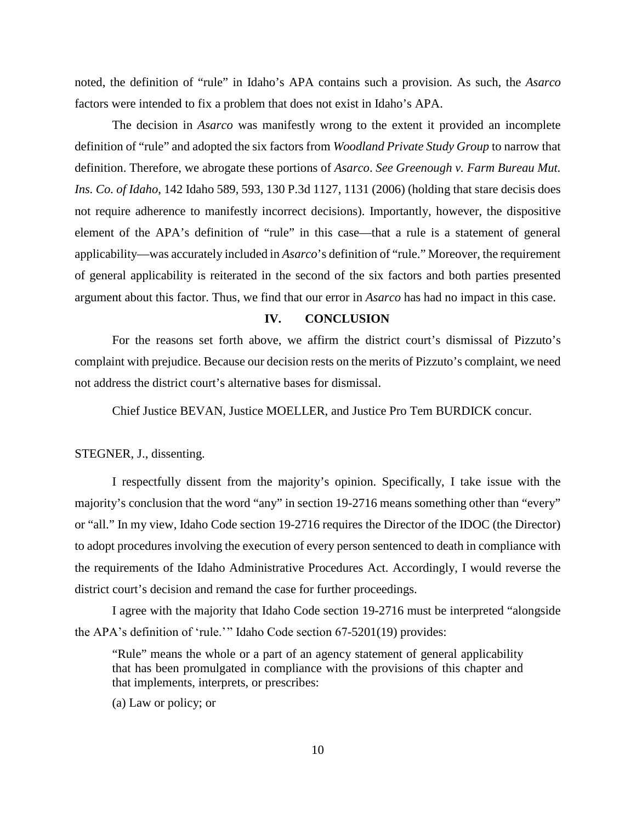noted, the definition of "rule" in Idaho's APA contains such a provision. As such, the *Asarco*  factors were intended to fix a problem that does not exist in Idaho's APA.

The decision in *Asarco* was manifestly wrong to the extent it provided an incomplete definition of "rule" and adopted the six factors from *Woodland Private Study Group* to narrow that definition. Therefore, we abrogate these portions of *Asarco*. *See Greenough v. Farm Bureau Mut. Ins. Co. of Idaho*, 142 Idaho 589, 593, 130 P.3d 1127, 1131 (2006) (holding that stare decisis does not require adherence to manifestly incorrect decisions). Importantly, however, the dispositive element of the APA's definition of "rule" in this case—that a rule is a statement of general applicability—was accurately included in *Asarco*'s definition of "rule." Moreover, the requirement of general applicability is reiterated in the second of the six factors and both parties presented argument about this factor. Thus, we find that our error in *Asarco* has had no impact in this case.

#### **IV. CONCLUSION**

For the reasons set forth above, we affirm the district court's dismissal of Pizzuto's complaint with prejudice. Because our decision rests on the merits of Pizzuto's complaint, we need not address the district court's alternative bases for dismissal.

Chief Justice BEVAN, Justice MOELLER, and Justice Pro Tem BURDICK concur.

### STEGNER, J., dissenting.

I respectfully dissent from the majority's opinion. Specifically, I take issue with the majority's conclusion that the word "any" in section 19-2716 means something other than "every" or "all." In my view, Idaho Code section 19-2716 requires the Director of the IDOC (the Director) to adopt procedures involving the execution of every person sentenced to death in compliance with the requirements of the Idaho Administrative Procedures Act. Accordingly, I would reverse the district court's decision and remand the case for further proceedings.

I agree with the majority that Idaho Code section 19-2716 must be interpreted "alongside the APA's definition of 'rule.' " Idaho Code section 67-5201(19) provides:

"Rule" means the whole or a part of an agency statement of general applicability that has been promulgated in compliance with the provisions of this chapter and that implements, interprets, or prescribes:

(a) Law or policy; or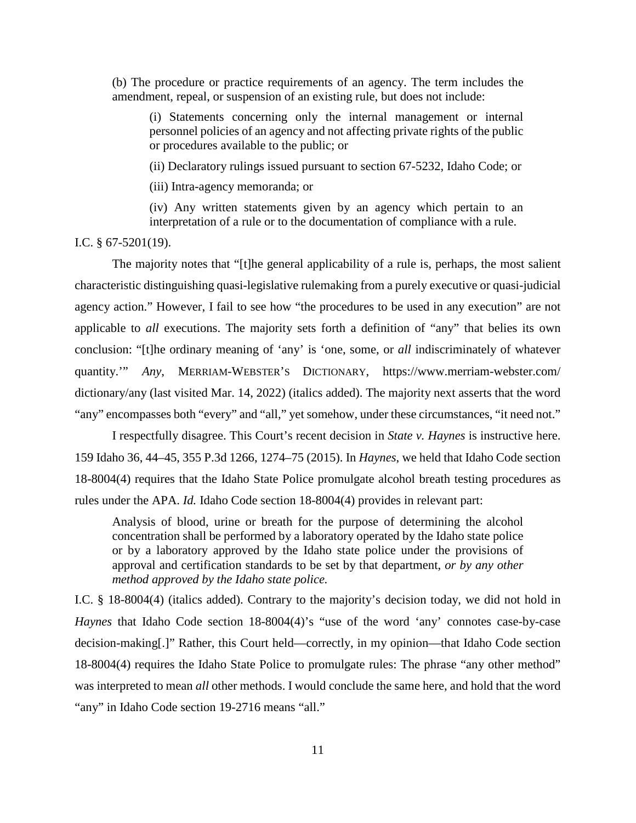(b) The procedure or practice requirements of an agency. The term includes the amendment, repeal, or suspension of an existing rule, but does not include:

(i) Statements concerning only the internal management or internal personnel policies of an agency and not affecting private rights of the public or procedures available to the public; or

(ii) Declaratory rulings issued pursuant to section 67-5232, Idaho Code; or

(iii) Intra-agency memoranda; or

(iv) Any written statements given by an agency which pertain to an interpretation of a rule or to the documentation of compliance with a rule.

I.C. § 67-5201(19).

The majority notes that "[t]he general applicability of a rule is, perhaps, the most salient characteristic distinguishing quasi-legislative rulemaking from a purely executive or quasi-judicial agency action." However, I fail to see how "the procedures to be used in any execution" are not applicable to *all* executions. The majority sets forth a definition of "any" that belies its own conclusion: "[t]he ordinary meaning of 'any' is 'one, some, or *all* indiscriminately of whatever quantity.'" *Any*, MERRIAM-WEBSTER'S DICTIONARY, https://www.merriam-webster.com/ dictionary/any (last visited Mar. 14, 2022) (italics added). The majority next asserts that the word "any" encompasses both "every" and "all," yet somehow, under these circumstances, "it need not."

I respectfully disagree. This Court's recent decision in *State v. Haynes* is instructive here. 159 Idaho 36, 44–45, 355 P.3d 1266, 1274–75 (2015). In *Haynes*, we held that Idaho Code section 18-8004(4) requires that the Idaho State Police promulgate alcohol breath testing procedures as rules under the APA. *Id.* Idaho Code section 18-8004(4) provides in relevant part:

Analysis of blood, urine or breath for the purpose of determining the alcohol concentration shall be performed by a laboratory operated by the Idaho state police or by a laboratory approved by the Idaho state police under the provisions of approval and certification standards to be set by that department, *or by any other method approved by the Idaho state police.*

I.C. § 18-8004(4) (italics added). Contrary to the majority's decision today, we did not hold in *Haynes* that Idaho Code section 18-8004(4)'s "use of the word 'any' connotes case-by-case decision-making[.]" Rather, this Court held—correctly, in my opinion—that Idaho Code section 18-8004(4) requires the Idaho State Police to promulgate rules: The phrase "any other method" was interpreted to mean *all* other methods. I would conclude the same here, and hold that the word "any" in Idaho Code section 19-2716 means "all."